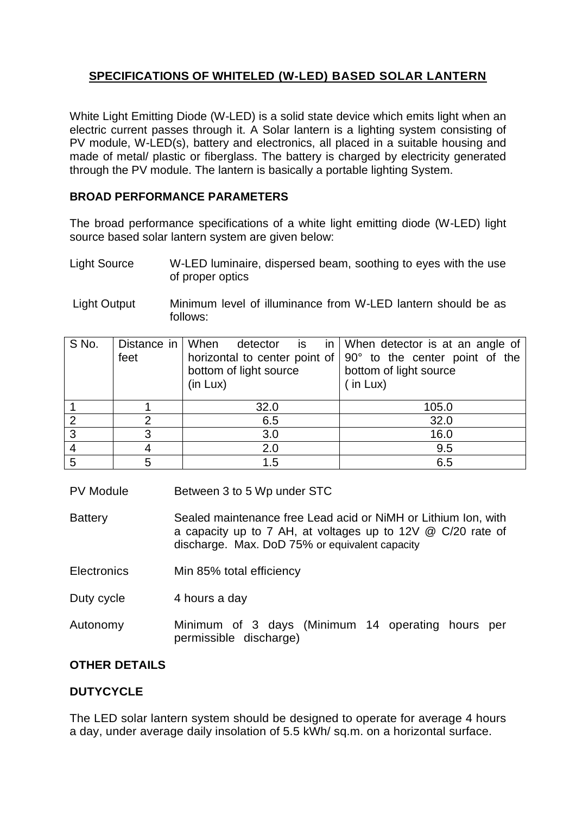# **SPECIFICATIONS OF WHITELED (W-LED) BASED SOLAR LANTERN**

White Light Emitting Diode (W-LED) is a solid state device which emits light when an electric current passes through it. A Solar lantern is a lighting system consisting of PV module, W-LED(s), battery and electronics, all placed in a suitable housing and made of metal/ plastic or fiberglass. The battery is charged by electricity generated through the PV module. The lantern is basically a portable lighting System.

### **BROAD PERFORMANCE PARAMETERS**

The broad performance specifications of a white light emitting diode (W-LED) light source based solar lantern system are given below:

- Light Source W-LED luminaire, dispersed beam, soothing to eyes with the use of proper optics
- Light Output Minimum level of illuminance from W-LED lantern should be as follows:

| S No. | feet | bottom of light source<br>(in Lux) | Distance in When detector is in When detector is at an angle of<br>horizontal to center point of $\sqrt{90^\circ}$ to the center point of the<br>bottom of light source<br>$\sin$ Lux) |
|-------|------|------------------------------------|----------------------------------------------------------------------------------------------------------------------------------------------------------------------------------------|
|       |      | 32.0                               | 105.0                                                                                                                                                                                  |
| റ     |      | 6.5                                | 32.0                                                                                                                                                                                   |
| 3     |      | 3.0                                | 16.0                                                                                                                                                                                   |
|       |      | 2.0                                | 9.5                                                                                                                                                                                    |
| 5     |      | 1.5                                | 6.5                                                                                                                                                                                    |

PV Module Between 3 to 5 Wp under STC

Battery Sealed maintenance free Lead acid or NiMH or Lithium Ion, with a capacity up to 7 AH, at voltages up to 12V @ C/20 rate of discharge. Max. DoD 75% or equivalent capacity

- Electronics Min 85% total efficiency
- Duty cycle 4 hours a day

Autonomy Minimum of 3 days (Minimum 14 operating hours per permissible discharge)

### **OTHER DETAILS**

### **DUTYCYCLE**

The LED solar lantern system should be designed to operate for average 4 hours a day, under average daily insolation of 5.5 kWh/ sq.m. on a horizontal surface.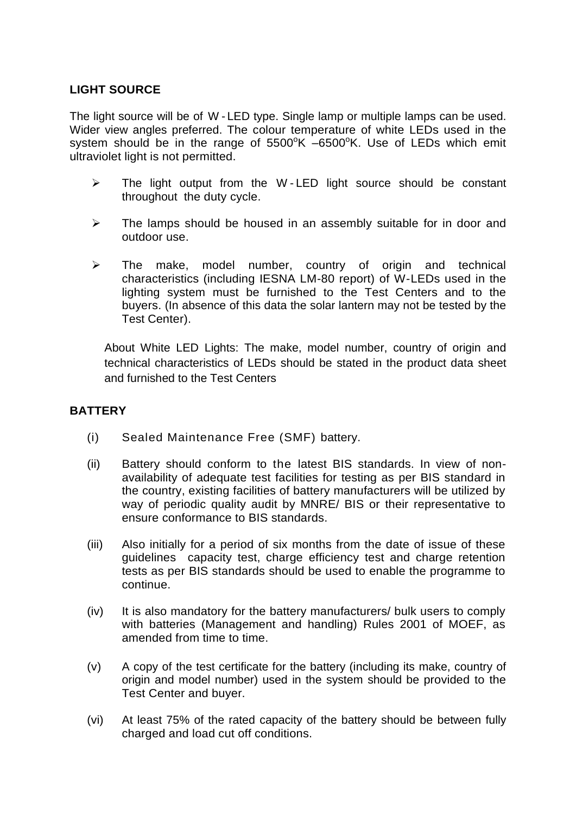#### **LIGHT SOURCE**

The light source will be of W - LED type. Single lamp or multiple lamps can be used. Wider view angles preferred. The colour temperature of white LEDs used in the system should be in the range of  $5500^{\circ}$ K  $-6500^{\circ}$ K. Use of LEDs which emit ultraviolet light is not permitted.

- $\triangleright$  The light output from the W-LED light source should be constant throughout the duty cycle.
- $\triangleright$  The lamps should be housed in an assembly suitable for in door and outdoor use.
- $\triangleright$  The make, model number, country of origin and technical characteristics (including IESNA LM-80 report) of W-LEDs used in the lighting system must be furnished to the Test Centers and to the buyers. (In absence of this data the solar lantern may not be tested by the Test Center).

About White LED Lights: The make, model number, country of origin and technical characteristics of LEDs should be stated in the product data sheet and furnished to the Test Centers

#### **BATTERY**

- (i) Sealed Maintenance Free (SMF) battery.
- (ii) Battery should conform to the latest BIS standards. In view of nonavailability of adequate test facilities for testing as per BIS standard in the country, existing facilities of battery manufacturers will be utilized by way of periodic quality audit by MNRE/ BIS or their representative to ensure conformance to BIS standards.
- (iii) Also initially for a period of six months from the date of issue of these guidelines capacity test, charge efficiency test and charge retention tests as per BIS standards should be used to enable the programme to continue.
- (iv) It is also mandatory for the battery manufacturers/ bulk users to comply with batteries (Management and handling) Rules 2001 of MOEF, as amended from time to time.
- (v) A copy of the test certificate for the battery (including its make, country of origin and model number) used in the system should be provided to the Test Center and buyer.
- (vi) At least 75% of the rated capacity of the battery should be between fully charged and load cut off conditions.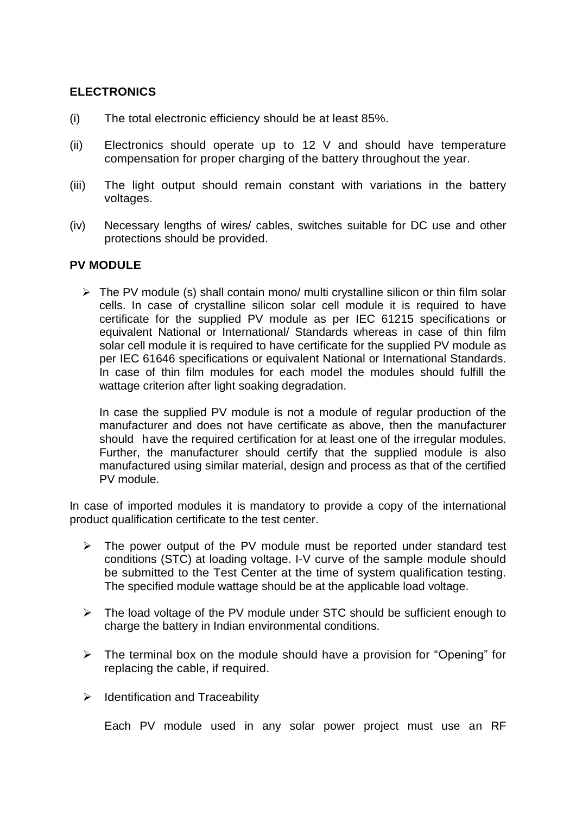### **ELECTRONICS**

- (i) The total electronic efficiency should be at least 85%.
- (ii) Electronics should operate up to 12 V and should have temperature compensation for proper charging of the battery throughout the year.
- (iii) The light output should remain constant with variations in the battery voltages.
- (iv) Necessary lengths of wires/ cables, switches suitable for DC use and other protections should be provided.

#### **PV MODULE**

 $\triangleright$  The PV module (s) shall contain mono/ multi crystalline silicon or thin film solar cells. In case of crystalline silicon solar cell module it is required to have certificate for the supplied PV module as per IEC 61215 specifications or equivalent National or International/ Standards whereas in case of thin film solar cell module it is required to have certificate for the supplied PV module as per IEC 61646 specifications or equivalent National or International Standards. In case of thin film modules for each model the modules should fulfill the wattage criterion after light soaking degradation.

In case the supplied PV module is not a module of regular production of the manufacturer and does not have certificate as above, then the manufacturer should have the required certification for at least one of the irregular modules. Further, the manufacturer should certify that the supplied module is also manufactured using similar material, design and process as that of the certified PV module.

In case of imported modules it is mandatory to provide a copy of the international product qualification certificate to the test center.

- $\triangleright$  The power output of the PV module must be reported under standard test conditions (STC) at loading voltage. I-V curve of the sample module should be submitted to the Test Center at the time of system qualification testing. The specified module wattage should be at the applicable load voltage.
- $\triangleright$  The load voltage of the PV module under STC should be sufficient enough to charge the battery in Indian environmental conditions.
- $\triangleright$  The terminal box on the module should have a provision for "Opening" for replacing the cable, if required.
- $\triangleright$  Identification and Traceability

Each PV module used in any solar power project must use an RF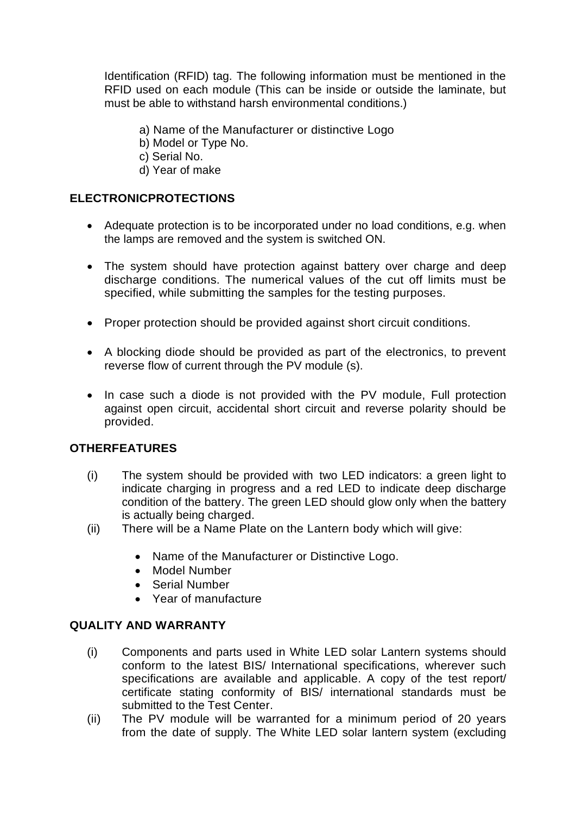Identification (RFID) tag. The following information must be mentioned in the RFID used on each module (This can be inside or outside the laminate, but must be able to withstand harsh environmental conditions.)

a) Name of the Manufacturer or distinctive Logo

- b) Model or Type No.
- c) Serial No.
- d) Year of make

## **ELECTRONICPROTECTIONS**

- Adequate protection is to be incorporated under no load conditions, e.g. when the lamps are removed and the system is switched ON.
- The system should have protection against battery over charge and deep discharge conditions. The numerical values of the cut off limits must be specified, while submitting the samples for the testing purposes.
- Proper protection should be provided against short circuit conditions.
- A blocking diode should be provided as part of the electronics, to prevent reverse flow of current through the PV module (s).
- In case such a diode is not provided with the PV module, Full protection against open circuit, accidental short circuit and reverse polarity should be provided.

### **OTHERFEATURES**

- (i) The system should be provided with two LED indicators: a green light to indicate charging in progress and a red LED to indicate deep discharge condition of the battery. The green LED should glow only when the battery is actually being charged.
- (ii) There will be a Name Plate on the Lantern body which will give:
	- Name of the Manufacturer or Distinctive Logo.
	- Model Number
	- Serial Number
	- Year of manufacture

### **QUALITY AND WARRANTY**

- (i) Components and parts used in White LED solar Lantern systems should conform to the latest BIS/ International specifications, wherever such specifications are available and applicable. A copy of the test report/ certificate stating conformity of BIS/ international standards must be submitted to the Test Center.
- (ii) The PV module will be warranted for a minimum period of 20 years from the date of supply. The White LED solar lantern system (excluding